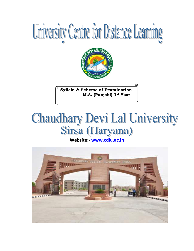



**Syllabi & Scheme of Examination M.A. (Punjabi)-1st Year**

# **Chaudhary Devi Lal University** Sirsa (Haryana)

**Website:- [www.cdlu.ac.in](http://www.cdlu.ac.in/)** 

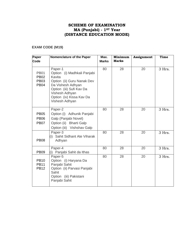## **SCHEME OF EXAMINATION MA (Punjabi) - 1ST Year (DISTANCE EDUCATION MODE)**

## **EXAM CODE (M19)**

| Paper<br><b>Code</b>                      | Nomenclature of the Paper                                                                                                                             | Max.<br><b>Marks</b> | Minimum<br><b>Marks</b> | Assignment | Time   |
|-------------------------------------------|-------------------------------------------------------------------------------------------------------------------------------------------------------|----------------------|-------------------------|------------|--------|
| <b>PB01</b>                               | Paper-1<br>Option (i) Madhkali Panjabi                                                                                                                | 80                   | 28                      | 20         | 3 Hrs. |
| <b>PB02</b><br><b>PB03</b><br><b>PB04</b> | Kavita<br>Option (ii) Guru Nanak Dev<br>Da Vishesh Adhyan<br>Option (iii) Sufi Kav Da<br>Vishesh Adhyan<br>Option (iv) Kissa Kav Da<br>Vishesh Adhyan |                      |                         |            |        |
| <b>PB05</b><br><b>PB06</b><br><b>PB07</b> | Paper-2<br>Option (i) Adhunik Panjabi<br>Galp (Panjabi Novel)<br>Option (ii) Bharti Galp<br>Option (iii) Vishshav Galp                                | 80                   | 28                      | 20         | 3 Hrs. |
| <b>PB08</b>                               | Paper-3<br>Sahit Sidhant Ate Viharak<br>(i)<br>Adhyan                                                                                                 | 80                   | 28                      | 20         | 3 Hrs. |
| <b>PB09</b>                               | Paper-4<br>Panjabi Sahit da Ithas<br>(i)                                                                                                              | 80                   | 28                      | 20         | 3 Hrs. |
| <b>PB10</b><br><b>PB11</b><br><b>PB12</b> | Paper-5<br>Option (i) Haryana Da<br>Panjabi Sahit<br>Option (ii) Parvasi Panjabi<br>Sahit<br>Option (iii) Pakistani<br>Panjabi Sahit                  | 80                   | 28                      | 20         | 3 Hrs. |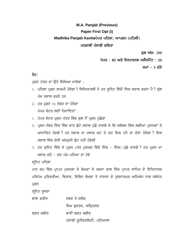# **M.A. Panjab (Previous) Paper First Opt (i)** Madhika Panjab Kavitaਪੇਪਰ ਪਹਿਲਾ, ਆਪਸ਼ਨ (ਪਹਿਲੀ) ਮਧਕਾਲੀ ਪੰਜਾਬੀ ਕਵਿਤਾ

ਕਲ ਅੰਕ: 100

ਪੇਪਰ : 80 ਅਤੇ ਇਨਟਰਨਲ ਅਸੈਸਮੈਂਟ : 20

ਸਮਾਂ – 3 ਘੰਟੇ

## ਨੋਟ:

ਪ੍ਰਸ਼ਨ ਪੱਤਰ ਦਾ ਉਤੇ ਲਿਖਿਆ ਜਾਵੇਗਾ :

- 1. ਪਹਿਲਾ ਪ੍ਰਸ਼ਨ ਲਾਜਮੀ ਹੋਵੇਗਾ ੀ ਵਿਦਿਆਰਥੀ ਨੇ ਹਰ ਯੁਨਿਟ ਵਿੱਚੋਂ ਇਕ ਸਵਾਲ ਕਰਨਾ ਹੈ ੀ ਕੁੱਲ ਪੰਜ ਸਵਾਲ ਕਰਨੇ ਹਨ
- $2.$  ਹਰ ਪਸ਼ਨ 16 ਨੰਬਰ ਦਾ ਹੋਵੇਗਾ ਪੇਪਰ ਸੇਟਰ ਲਈ ਹਿਦਾਇਤਾਂ :
- 1. ਪੇਪਰ ਸੇਟਰ ਪ੍ਰਸ਼ਨ ਪੱਤਰ ਵਿੱਚ ਕੁਲ ਨੌਂ ਪ੍ਰਸ਼ਨ ਪੁੱਛੇਗਾ
- 2. ਪੁਸ਼ਨ ਨੰਬਰ ਇੱਕ ਵਿੱਚ ਚਾਰ ਛੋਟੇ ਸਵਾਲ ਪੁੱਛੇ ਜਾਣਗੇ ਜੇ ਕਿ ਸਲੇਬਸ ਵਿੱਚ ਲਗੀਆ ਪੁਸਤਕਾਂ ਤੇ ਆਧਾਰਿਤ ਹੋਣਗੇ**ੀ ਹਰ ਸਵਾਲ ਦਾ ਜਵਾਬ ਘੱਟ ਤੋ ਘੱਟ ਇਕ ਪੱਨੇ** ਦਾ ਦੇਣਾ ਹੋਵੇਗਾ ੀ ਇਸ ਸਵਾਲ ਵਿੱਚ ਕੋਈ ਅੰਦਰਨੀ ਛੋਟ ਨਹੀ ਹੋਵੇਗੀ
- 3. ਹਰ ਯੂਨਿਟ ਵਿੱਚੋ ਦੇ ਪ੍ਰਸ਼ਨ (ਹੱਰ ਪੁਸਤਕ ਵਿੱਚੋ ਇੱਕ ਇੱਕ) ਪੁੱਛੇ ਜਾਣਗੇ ੀ ਹਰ ਪ੍ਰਸ਼ਨ ਦਾ ਜਵਾਬ ਘੱਟੋ - ਘੱਟ ਪੰਜ ਪਨਿਆ ਦਾ ਹੋਵੇ

ਯਨਿਟ ਪਹਿਲਾ

ਪਾਠ ਕਮ ਵਿੱਚ ਪ੍ਰਾਪਤ ਪੁਸਤਕਾ ਦੇ ਲੇਖਕਾਂ ਦੇ ਰਚਨਾ ਕਾਲ ਵਿੱਚ ਪ੍ਰਾਪਤ ਸਾਹਿਤ ਦੇ ਇਤਿਹਾਸਕ ਪਰਿਪੇਖ ਪ੍ਰਵਿਰਤੀਆ, ਵਿਕਾਸ, ਵਿਭਿਨ ਲੇਖਕਾ ਤੇ ਧਾਰਾਵਾ ਦੇ ਤੁਲਨਾਤਮਕ ਅਧਿਐਨ ਨਾਲ ਸਬੰਧਤ ਪ੍ਰਸ਼ਨ

ਯੁਨਿਟ ਦੁਸਰਾ

ਕਾਬਾ ਫਰੀਦ $\overline{B}$  ਬਾਬਦ ਤੇ ਸ਼ਲੋਕ ਸਿਘ ਬੁਦਰਜ, ਅੰਮ੍ਰਿਤਸਰ ਲਗਤ ਕਬੀਰ ਬਾਣੀ ਭਗਤ ਕਬੀਰ ਪੰਜਾਬੀ ਯੂਨੀਵਰਸਿਟੀ, ਪਟਿਆਲਾ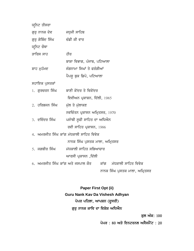| ਯੁਨਿਟ ਤੀਸਰਾ                           |                                                            |
|---------------------------------------|------------------------------------------------------------|
| ਗੁਰੂ ਨਾਨਕ ਦੇਵ             ਜਧੁਜੀ ਸਾਹਿਬ |                                                            |
| ਗੁਰੂ ਗੋਬਿੰਦ ਸਿੰਘ                      | ਚੰਡੀ ਕੀ ਵਾਰ                                                |
| ਯੁਨਿਟ ਚੌਥਾ                            |                                                            |
| ੜਾਰਿਸ ਸਾਹ                             | ਹੀਰ                                                        |
|                                       | ਬਾਸ਼ਾ ਵਿਭਾਗ, ਪੰਜਾਬ, ਪਟਿਆਲਾ                                 |
| ਸ਼ਾਹ ਮੁਹੰਮਦ                           | ਜੰਗਨਾਮਾ ਸਿਘਾਂ ਤੇ ਫਰੰਗੀਆਂ                                   |
|                                       | ਪੈਪਸੁ ਬੁਕ ਡਿਪੋ, ਪਟਿਆਲਾ                                     |
| ਸਹਾਇਕ ਪੁਸਤਕਾਂ                         |                                                            |
| 1. ਗੁਰਚਰਨ ਸਿੰਘ                        | ਬਾਣੀ ਕੇਂਦਰ ਤੇ ਵਿਕੇਂਦਰ                                      |
|                                       | ਵਿਵੀਅਨ ਪ੍ਰਕਾਸ਼ਨ, ਦਿੱਲੀ, 1985                               |
| 2. ਹਰਿਭਜਨ ਸਿੰਘ                        | ਮੁੱਲ ਤੇ ਮੁੱਲਾਕਣ                                            |
|                                       | ਨਵਚਿੰਤਨ ਪ੍ਰਕਾਸਨ ਅਮ੍ਰਿਤਸਰ, 1970                             |
| 3. ਦਵਿੰਦਰ ਸਿੰਘ                        | ਪਜੰਾਬੀ ਸੁਫੀ ਸਾਹਿਤ ਦਾ ਅਧਿਐਨ                                 |
|                                       | ਰਵੀ ਸਾਹਿਤ ਪ੍ਰਕਾਸਨ, 1986                                    |
|                                       | 4. ਅਮਰਜੀਤ ਸਿੰਘ ਕਾਂਗ ਮੱਧਕਾਲੀ ਸਾਹਿਤ ਵਿਵੇਕ                    |
|                                       | ਨਾਨਕ ਸਿੰਘ ਪੁਸਤਕ ਮਾਲਾ, ਅਮ੍ਰਿਤਸਰ                             |
| 5. ਜਗਬੀਰ ਸਿੰਘ                         | ਮੱਧਕਾਲੀ ਸਾਹਿਤ ਸਭਿਆਚਾਰ                                      |
|                                       | ਆਰਸੀ ਪ੍ਰਕਾਸਨ ,ਦਿੱਲੀ                                        |
|                                       | 6. ਅਮਰਜੀਤ ਸਿੰਘ ਕਾਂਗ ਅਤੇ ਜਸਪਾਲ ਕੌਰ ਕਾਂਗ ਮੱਧਕਾਲੀ ਸਾਹਿਤ ਵਿਵੇਕ |
|                                       | ਨਾਨਕ ਸਿੰਘ ਪੁਸਤਕ ਮਾਲਾ, ਅਮ੍ਰਿਤਸਰ                             |

**Paper First Opt (ii) Guru Nank Kav Da Vishesh Adhyan** ਪੇਪਰ ਪਹਿਲਾ, ਆਪਸ਼ਨ (ਦੂਸਰੀ) ਗੁਰੁ ਨਾਨਕ ਕਾਵਿ ਦਾ ਵਿਸ਼ੇਸ਼ ਅਧਿਐਨ

ਕੁਲ ਅੰਕ: 100

ਪੇਪਰ : 80 ਅਤੇ ਇਨਟਰਨਲ ਅਸੈਸਮੈਂਟ : 20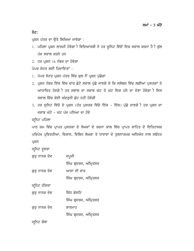ਨੋਟ:

ਪ੍ਰਸ਼ਨ ਪੱਤਰ ਦਾ ਉਤੇ ਲਿਖਿਆ ਜਾਵੇਗਾ :

- 1. ਪਹਿਲਾ ਪ੍ਰਸ਼ਨ ਲਾਜਮੀ ਹੋਵੇਗਾ ੀ ਵਿਦਿਆਰਥੀ ਨੇ ਹਰ ਯੁਨਿਟ ਵਿੱਚੋਂ ਇਕ ਸਵਾਲ ਕਰਨਾ ਹੈ ੀ ਕੁੱਲ ਪੰਜ ਸਵਾਲ ਕਰਨੇ ਹਨ
- $2.$  ਹਰ ਪ੍ਰਸ਼ਨ  $16$  ਨੰਬਰ ਦਾ ਹੋਵੇਗਾ

 $\hat{v}$ ਪਰ ਸੇਟਰ ਲਈ ਗਿਜਾਇਤਾਂ :

- 1. ਪੇਪਰ ਸੇਟਰ ਪ੍ਰਸ਼ਨ ਪੱਤਰ ਵਿੱਚ ਕਲ ਨੌਂ ਪ੍ਰਸ਼ਨ ਪੱਛੇਗਾ
- 2. ਪ੍ਰਸ਼ਨ ਨੰਬਰ ਇੱਕ ਵਿੱਚ ਚਾਰ ਛੋਟੇ ਸਵਾਲ ਪੁੱਛੇ ਜਾਣਗੇ ਜੇ ਕਿ ਸਲੇਬਸ ਵਿੱਚ ਲਗੀਆ ਪੁਸਤਕਾਂ ਤੇ ਆਧਾਰਿਤ ਹੋਣਗੇ ੀ ਹਰ ਸਵਾਲ ਦਾ ਜਵਾਬ ਘੱਟ ਤੋ ਘੱਟ ਇਕ ਪੱਨੇ ਦਾ ਦੇਣਾ ਹੋਵੇਗਾ ੀ ਇਸ ਸਵਾਲ ਵਿੱਚ ਕੋਈ ਅੰਦਰਨੀ ਛੋਟ ਨਹੀ ਹੋਵੇਗੀ
- 3. ਹਰ ਯੂਨਿਟ ਵਿੱਚੋ ਦੇ ਪ੍ਰਸ਼ਨ (ਹੱਰ ਪੁਸਤਕ ਵਿੱਚੋ ਇੱਕ ਇੱਕ) ਪੁੱਛੇ ਜਾਣਗੇ ੀ ਹਰ ਪ੍ਰਸ਼ਨ ਦਾ ਜਵਾਬ ਘੱਟੋ - ਘੱਟ ਪੰਜ ਪੁਨਿਆ ਦਾ ਹੋਵੇ

ਯੁਨਿਟ ਪਹਿਲਾ

ਪਾਠ ਕਮ ਵਿੱਚ ਪ੍ਰਾਪਤ ਪੁਸਤਕਾ ਦੇ ਲੇਖਕਾਂ ਦੇ ਰਚਨਾ ਕਾਲ ਵਿੱਚ ਪ੍ਰਾਪਤ ਸਾਹਿਤ ਦੇ ਇਤਿਹਾਸਕ ਪਰਿਪੇਖ ਪ੍ਰਵਿਰਤੀਆ, ਵਿਕਾਸ, ਵਿਭਿਨ ਲੇਖਕਾ ਤੇ ਧਾਰਾਵਾ ਦੇ ਤੁਲਨਾਤਮਕ ਅਧਿਐਨ ਨਾਲ ਸਬੰਧਤ ਪ੍ਰਸ਼ਨ

ਯੁਨਿਟ ਦੁਸਰਾ

guru nwnk d yv jpUjI ਸਿੰਘ ਬੁਦਰਜ, ਅੰਮ੍ਰਿਤਸਰ ਗਰ ਨਾਨਕ ਦੇਵ ਅਾਸਾ ਦੀ ਵਾਰ ਸਿੰਘ ਬੁਦਰਜ, ਅੰਮ੍ਰਿਤਸਰ ਯੁਨਿਟ ਤੀਸਰਾ ਗੁਰੂ ਨਾਨਕ ਦੇਵ ਸਿੱਧ ਗੋਸਟਿ ਸਿੰਘ ਬ੍ਰਦਰਜ, ਅੰਮ੍ਰਿਤਸਰ ਗੁਰੂ ਨਾਨਕ ਦੇਵ ਬਾਰਮਾਹ ਸਿੰਘ ਬ੍ਰਦਰਜ, ਅੰਮ੍ਰਿਤਸਰ ਯਨਿਟ ਚੌਥਾ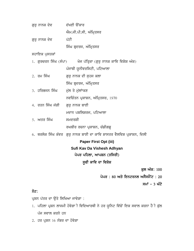| ਗੁਰੂ ਨਾਨਕ ਦੇਵ | ਦੱਖਣੀ ਉਂਕਾਰ            |
|---------------|------------------------|
|               | ਐਮ.ਜੀ.ਪੀ.ਸੀ, ਅੰਮ੍ਰਿਤਸਰ |
| ਗੁਰੂ ਨਾਨਕ ਦੇਵ | ਪੱਟੀ                   |
|               | ਸਿੰਘ ਬ੍ਰਦਰਜ, ਅੰਮ੍ਰਿਤਸਰ |

ਸਹਾਇਕ ਪੁਸਤਕਾਂ

|                                  | 1. ਗੁਰਚਰਨ ਸਿੰਘ (ਸੰਪਾ)       ਖੋਜ ਪੱਤ੍ਰਿਕਾ (ਗੁਰੂ ਨਾਨਕ ਕਾਵਿ ਵਿਸ਼ੇਸ਼ ਅੰਕ) |
|----------------------------------|-----------------------------------------------------------------------|
|                                  | ਪੰਜਾਬੀ ਯੂਨੀਵਰਸਿਟੀ, ਪਟਿਆਲਾ                                             |
| 2. ਰਮ ਸਿੰਘ                       | ਗੁਰੂ ਨਾਨਕ ਦੀ ਸੂਹਜ ਕਲਾ                                                 |
|                                  | ਸਿੰਘ ਬ੍ਰਦਰਜ, ਅੰਮ੍ਰਿਤਸਰ                                                |
| 3. ਹਰਿਭਜਨ ਸਿੰਘ ਮੁੱਲ ਤੇ ਮੁੱਲਾਂਾਕਣ |                                                                       |

ਨਵਚਿੰਤਨ ਪ੍ਰਕਾਸ਼ਨ, ਅੰਮ੍ਰਿਤਸਰ, 1970

- 4. ਰਤਨ ਸਿੰਘ ਜੱਗੀ ਗਰ ਨਾਨਕ ਬਾਣੀ ਮਦਾਨ ਪਬਲਿਸ਼ਰਜ, ਪਟਿਆਲਾ
- 5. ਅਤਰ ਸਿੰਘ **ਸਮਦਰਸ਼ੀ** ਰਘਬੀਰ ਰਚਨਾ ਪ੍ਰਕਾਸ਼ਨ, ਚੰਡੀਗਡ਼
- 6. ਥਰਲੋਕ ਸਿੰਘ ਕੰਵਰ ਗੁਰੂ ਨਾਨਕ ਬਾਣੀ ਦਾ ਕਾਵਿ ਸ਼ਾਸਤਰ ਵੈਲਵਿਸ਼ ਪ੍ਰਕਾਸ਼ਨ, ਦਿਲੀ

**Paper First Opt (iii) Sufi Kav Da Vishesh Adhyan** ਪੇਪਰ ਪਹਿਲਾ, ਆਪਸ਼ਨ  $($ ਤਸਿਰੀ $)$ ਸੁਫੀ ਕਾਵਿ ਦਾ ਵਿਸ਼ੇਸ਼

ਕੁਲ ਅੰਕ: 100

ਪੇਪਰ : 80 ਅਤੇ ਇਨਟਰਨਲ ਅਸੈਸਮੈਂਟ : 20

ਸਮਾਂ – 3 ਘੰਟੇ

## ਨੋਟ:

ਪ੍ਰਸ਼ਨ ਪੱਤਰ ਦਾ ਉਤੇ ਲਿਖਿਆ ਜਾਵੇਗਾ :

- 1. ਪਹਿਲਾ ਪ੍ਰਸ਼ਨ ਲਾਜਮੀ ਹੋਵੇਗਾ ੀ ਵਿਦਿਆਰਥੀ ਨੇ ਹਰ ਯੁਨਿਟ ਵਿੱਚੋਂ ਇਕ ਸਵਾਲ ਕਰਨਾ ਹੈ ੀ ਕੁੱਲ ਪੰਜ ਸਵਾਲ ਕਰਨੇ ਹਨ
- $2.$  ਹਰ ਪ੍ਰਸ਼ਨ  $16$  ਨੰਬਰ ਦਾ ਹੋਵੇਗਾ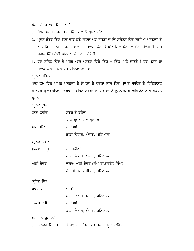ਪੇਪਰ ਸੇਟਰ ਲਈ ਹਿਦਾਇਤਾਂ :

- 1. ਪੇਪਰ ਸੇਟਰ ਪੁਸ਼ਨ ਪੱਤਰ ਵਿੱਚ ਕਲ ਨੌਂ ਪੁਸ਼ਨ ਪੁੱਛੇਗਾ
- 2. ਪ੍ਰਸ਼ਨ ਨੰਬਰ ਇੱਕ ਵਿੱਚ ਚਾਰ ਛੋਟੇ ਸਵਾਲ ਪੁੱਛੇ ਜਾਣਗੇ ਜੇ ਕਿ ਸਲੇਬਸ ਵਿੱਚ ਲਗੀਆ ਪੁਸਤਕਾਂ ਤੇ ਆਧਾਰਿਤ ਹੋਣਗੇ ੀ ਹਰ ਸਵਾਲ ਦਾ ਜਵਾਬ ਘੱਟ ਤੋ ਘੱਟ ਇਕ ਪੱਨੇ ਦਾ ਦੇਣਾ ਹੋਵੇਗਾ ੀ ਇਸ ਸਵਾਲ ਵਿੱਚ ਕੋਈ ਅੰਦਰਨੀ ਛੋਟ ਨਹੀ ਹੋਵੇਗੀ
- 3. ਹਰ ਯੁਨਿਟ ਵਿੱਚੋ ਦੇ ਪ੍ਰਸ਼ਨ (ਹੱਰ ਪੁਸਤਕ ਵਿੱਚੋ ਇੱਕ ਇੱਕ) ਪੁੱਛੇ ਜਾਣਗੇੀ ਹਰ ਪ੍ਰਸ਼ਨ ਦਾ ਜਵਾਬ ਘੱਟੋ - ਘੱਟ ਪੰਜ ਪੁਨਿਆ ਦਾ ਹੋਵੇ

ਯੁਨਿਟ ਪਹਿਲਾ

ਪਾਠ ਕਮ ਵਿੱਚ ਪ੍ਰਾਪਤ ਪੁਸਤਕਾ ਦੇ ਲੇਖਕਾਂ ਦੇ ਰਚਨਾ ਕਾਲ ਵਿੱਚ ਪ੍ਰਾਪਤ ਸਾਹਿਤ ਦੇ ਇਤਿਹਾਸਕ ਪਰਿਪੇਖ ਪ੍ਰਵਿਰਤੀਆ, ਵਿਕਾਸ, ਵਿਭਿਨ ਲੇਖਕਾ ਤੇ ਧਾਰਾਵਾ ਦੇ ਤੁਲਨਾਤਮਕ ਅਧਿਐਨ ਨਾਲ ਸਬੰਧਤ ਪ੍ਰਸ਼ਨ

ਯੁਨਿਟ ਦੁਸਰਾ

| ਭਾਬਾ ਫਰੀਦ      | ਸਬਦ ਤੇ ਸ਼ਲੋਕ                        |
|----------------|-------------------------------------|
|                | ਸਿਘ ਬ੍ਰਦਰਜ, ਅੰਮ੍ਰਿਤਸਰ               |
| ਸ਼ਾਹ ਹੁਸੈਨ     | ਕਾਫੀਆਂ                              |
|                | ਭਾਸ਼ਾ ਵਿਭਾਗ, ਪੰਜਾਬ, ਪਟਿਆਲਾ          |
| ਯੁਨਿਟ ਤੀਸਰਾ    |                                     |
| ਸ਼ੁਲਤਾਨ ਬਾਹੁ   | ਸੀਹਰਫੀਆਂ                            |
|                | ਭਾਸ਼ਾ ਵਿਭਾਗ, ਪੰਜਾਬ, ਪਟਿਆਲਾ          |
| ਅਲੀ ਹੈਦਰ       | ਕਲਾਮ ਅਲੀ ਹੈਦਰ (ਸੰਪਾ.ਡਾ.ਗੁਰਦੇਵ ਸਿੰਘ) |
|                | ਪੰਜਾਬੀ ਯੂਨੀਵਰਸਿਟੀ, ਪਟਿਆਲਾ           |
| ਯੁਨਿਟ ਚੌਥਾ     |                                     |
| ਹਾਸਮ ਸਾਹ       | ਦੇਹੜੇ                               |
|                | ਬਾਸ਼ਾ ਵਿਭਾਗ, ਪੰਜਾਬ, ਪਟਿਆਲਾ          |
| ਗੁਲਾਮ ਫਰੀਦ     | ਕਾਫੀਆਂ                              |
|                | ਬਾਸ਼ਾ ਵਿਭਾਗ, ਪੰਜਾਬ, ਪਟਿਆਲਾ          |
| ਸਹਾਇਕ ਪੁਸਤਕਾਂ  |                                     |
| 1.  ਅਨਵਰ ਚਿਰਾਗ | ਇਸਲਾਮੀ ਚਿੰਤਨ ਅਤੇ ਪੰਜਾਬੀ ਸੂਫੀ ਕਵਿਤਾ, |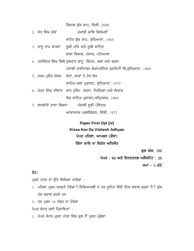ਨੈਸ਼ਨਲ ਬੁੱਕ ਸ਼ਾਪ, ਦਿਲੀ,  $2006$ 

| 2. ਸੰਤ ਸਿੰਘ ਸ਼ੇਖੋਂ | ਪੰਜਾਬੀ ਕਾਵਿ ਸ਼ਿਰੋਮਣੀ                                   |
|--------------------|--------------------------------------------------------|
|                    | ਲਾਹੌਰ ਬੱਕ ਸ਼ਾਪ, ਲਧਿਆਣਾ, 1964                           |
|                    | <u>3. ਸਾਧੂ ਰਾਮ ਸ਼ਾਰਧਾ   ਸੂਫੀ ਮਤਿ ਅਤੇ ਸੂਫੀ ਸਾਹਿਤ</u>    |
|                    | ਬਾਸ਼ਾ ਵਿਭਾਗ, ਪੰਜਾਬ, ਪਟਿਆਲਾ                             |
|                    | 4. ਹਰਜਿੰਦਰ ਸਿੰਘ ਢਿੱਲੋ ਸੁਲਤਾਨ ਬਾਹੁ: ਚਿੰਤਨ, ਕਲਾ ਅਤੇ ਰਚਨਾ |
|                    | ਪੰਜਾਬੀ ਰਾਈਟਰਜ ਕੋਆਪਰੇਟਿਵ ਸੁਸਇਟੀ ਲਿ.ਲੁਧਿਆਣਾ, 1984        |
|                    | 5. ਨਜਮ ਹੁਸੈਨ ਸੱਯਦ ਸੇਧਾਂ, ਸਾਰਾਂ ਤੇ ਹੋਰ ਲੇਖ              |
|                    | ਸਾਹਿਤ ਕਲਾ ਪ੍ਰਕਾਸਨ, ਲੁਧਿਆਣਾ, 1977                       |
|                    | 6. ਮੋਹਨ ਸਿੰਘ ਦੀਵਾਨ ਸ਼ਾਹ ਹੁਸੈਨ: ਰਚਨਾ, ਨਿਰੀਖਣਾ ਅਤੇ ਵਿਚਾਰ |
|                    | ਲੋਕ ਸਾਹਿਤ ਪ੍ਰਕਾਸਨ,ਅੰਮ੍ਰਿਤਸਰ, 1988                      |
|                    | 7. ਲਾਜਵੰਤੀ ਰਾਸਾ ਕਿਸ਼ਨਾ     ਪੰਜਾਬੀ ਸੁਫੀ ਪੋਇਟਸ           |
|                    | ਆਸ਼ਾਜਨਕ ਪਬਲੀਕੇਸ਼ਨ, ਦਿੱਲੀ, 1973                         |

**Paper First Opt (iv) Kissa Kav Da Vishesh Adhyan** ਪੇਪਰ ਪਹਿਲਾ, ਆਪਸ਼ਨ (ਚੌਥਾ) ਕਿੱਸਾ ਕਾਵਿ ਦਾ ਵਿਸ਼ੇਸ ਅਧਿਐਨ

ਕਲ ਅੰਕ: 100

ਪੇਪਰ : 80 ਅਤੇ ਇਨਟਰਨਲ ਅਸੈਸਮੈਂਟ : 20

ਸਮਾਂ – 3 ਘੰਟੇ

## ਨੋਟ:

ਪ੍ਰਸ਼ਨ ਪੱਤਰ ਦਾ ਉਤੇ ਲਿਖਿਆ ਜਾਵੇਗਾ :

- 1. ਪਹਿਲਾ ਪ੍ਰਸ਼ਨ ਲਾਜਮੀ ਹੋਵੇਗਾ ੀ ਵਿਦਿਆਰਥੀ ਨੇ ਹਰ ਯੂਨਿਟ ਵਿੱਚੋਂ ਇਕ ਸਵਾਲ ਕਰਨਾ ਹੈ ੀ ਕੁੱਲ ਪੰਜ ਸਵਾਲ ਕਰਨੇ ਹਨ
- $3.$  ਹਰ ਪ੍ਰਸ਼ਨ  $16$  ਨੰਬਰ ਦਾ ਹੋਵੇਗਾ

ਪੇਪਰ ਸੇਟਰ ਲਈ ਹਿਦਾਇਤਾਂ :

1. ਪੇਪਰ ਸੇਟਰ ਪ੍ਰਸ਼ਨ ਪੱਤਰ ਵਿੱਚ ਕੁਲ ਨੌਂ ਪ੍ਰਸ਼ਨ ਪੁੱਛੇਗਾ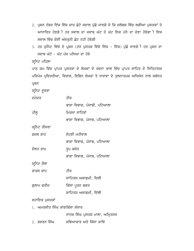- 2. ਪ੍ਰਸ਼ਨ ਨੰਬਰ ਇੱਕ ਵਿੱਚ ਚਾਰ ਛੋਟੇ ਸਵਾਲ ਪੁੱਛੇ ਜਾਣਗੇ ਜੇ ਕਿ ਸਲੇਬਸ ਵਿੱਚ ਲਗੀਆ ਪੁਸਤਕਾਂ ਤੇ ਅਾਧਾਰਿਤ ਹੋਣਗੇੀ ਹਰ ਸਵਾਲ ਦਾ ਜਵਾਬ ਘੱਟ ਤੋ ਘੱਟ ਇਕ ਪੱਨੇ ਦਾ ਦੇਣਾ ਹੋਵੇਗਾੀ ਇਸ ਸਵਾਲ ਵਿੱਚ ਕੋਈ ਅੰਦਰਨੀ ਛੋਟ ਨਹੀ ਹੋਵੇਗੀ
- 3. ਹਰ ਯੁਨਿਟ ਵਿੱਚੋ ਦੇ ਪ੍ਰਸ਼ਨ (ਹੱਰ ਪੁਸਤਕ ਵਿੱਚੋ ਇੱਕ ਇੱਕ) ਪੁੱਛੇ ਜਾਣਗੇ ੀ ਹਰ ਪ੍ਰਸ਼ਨ ਦਾ ਜਵਾਬ ਘੱਟੋ - ਘੱਟ ਪੰਜ ਪਨਿਆ ਦਾ ਹੋਵੇ

## ਯੁਨਿਟ ਪਹਿਲਾ

ਪਾਠ ਕਮ ਵਿੱਚ ਪ੍ਰਾਪਤ ਪੁਸਤਕਾ ਦੇ ਲੇਖਕਾਂ ਦੇ ਰਚਨਾ ਕਾਲ ਵਿੱਚ ਪ੍ਰਾਪਤ ਸਾਹਿਤ ਦੇ ਇਤਿਹਾਸਕ ਪਰਿਪੇਖ ਪ੍ਰਵਿਰਤੀਆ, ਵਿਕਾਸ, ਵਿਭਿਨ ਲੇਖਕਾ ਤੇ ਧਾਰਾਵਾ ਦੇ ਤੁਲਨਾਤਮਕ ਅਧਿਐਨ ਨਾਲ ਸਬੰਧਤ ਪ੍ਰਸ਼ਨ

ਯੁਨਿਟ ਦੁਸਰਾ

| ਦਮਦਰ          | ਹੀਰ                         |
|---------------|-----------------------------|
|               | ਭਾਸ਼ਾ ਵਿਭਾਗ, ਪੰਜਾਬੀ, ਪਟਿਆਲਾ |
| ਪੀਲੁ          | ਮਿਰਜਾ ਸਾਹਿਬਾਂ               |
|               | ਭਾਸ਼ਾ ਵਿਭਾਗ, ਪੰਜਾਬ, ਪਟਿਆਲਾ  |
| ਯੁਨਿਟ ਤੀਸਰਾ   |                             |
| ਫਜਲ ਸ਼ਾਹ      | ਸੋਹਣੀ ਮਹੀਵਾਲ                |
|               | ਭਾਸ਼ਾ ਵਿਭਾਗ, ਪੰਜਾਬ, ਪਟਿਆਲਾ  |
| ਦੌਲਤ ਰਾਮ      | ਰੂਪ ਬਸੰਤ                    |
|               | ਭਾਸ਼ਾ ਵਿਭਾਗ, ਪੰਜਾਬ, ਪਟਿਆਲਾ  |
| ਯੁਨਿਟ ਚੌਥਾ    |                             |
| ੜਾਰਸ ਸ਼ਾਹ     | ਹੀਰ                         |
|               | ਸਾਹਿਤਯ ਅਕਾਡਮੀ, ਦਿਲੀ         |
| ਗ਼ਲਾਮ ਫਰੀਦ    | ਕਿੱਸਾ ਪੂਰਨ ਭਗਤ              |
|               | ਸ਼ਾਹਿਤਯ ਅਕਾਡਮੀ, ਦਿੱਲੀ       |
| ਸਹਾਇਕ ਪੁਸਤਕਾਂ |                             |
|               |                             |

1. ਅਮਰਜੀਤ ਸਿੰਘ ਕਾਂਗਕਿੱਸਾ ਸੰਸਾਰ

ਨਾਨਕ ਸਿੰਘ ਪੁਸਤਕ ਮਾਲਾ, ਅਮ੍ਰਿਤਸਰ

2. ਸ਼ਵਰਨ ਸਿੰਘ ਸਭਿਆਚਾਰ ਅਤੇ ਕਿੱਸਾ ਕਾਵਿ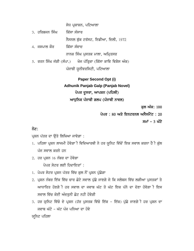ਸੇਧ ਪ੍ਰਕਾਸ਼ਨ, ਪਟਿਆਲਾ

3. ਹਰਿਭਜੂਨ ਸਿੰਘ <u>ਕਿੱਸਾ ਸੰਸਾਰ</u>

ਨੈਸਨਲ ਬੁੱਕ ਟਰੱਸਟ, ਇਡੀਆ, ਦਿਲੀ, 1972

- 4. ਜਸਪਾਲ ਕੌਰ ਕਿੱਸਾ ਸੰਵਾਦ ਨਾਨਕ ਸਿੰਘ ਪੁਸਤਕ ਮਾਲਾ, ਅਮ੍ਰਿਤਸਰ
- 5. ਰਤਨ ਸਿੰਘ ਜੱਗੀ (ਸੰਪਾ.) ਖੋਜ ਪੱਤ੍ਰਿਕਾ (ਕਿੱਸਾ ਕਾਵਿ ਵਿਸ਼ੇਸ ਅੰਕ) ਪੰਜਾਬੀ ਯੂਨੀਵਰਸਿਟੀ, ਪਟਿਆਲਾ

# **Paper Second Opt (i) Adhunik Panjab Galp (Panjab Novel)** ਪੇਪਰ ਦੂਸਰਾ, ਆਪਸ਼ਨ (ਪਹਿਲੀ) ਆਧੁਨਿਕ ਪੰਜਾਬੀ ਗਲਪ (ਪੰਜਾਬੀ ਨਾਵਲ)

ਕੁਲ ਅੰਕ: 100

ਪੇਪਰ : 80 ਅਤੇ ਇਨਟਰਨਲ ਅਸੈਸਮੈਂਟ : 20

ਸਮਾਂ – 3 ਘੰਟੇ

### ਨੋਟ:

ਪ੍ਰਸ਼ਨ ਪੱਤਰ ਦਾ ੳਤੇ ਲਿਖਿਆ ਜਾਵੇਗਾ :

- 1. ਪਹਿਲਾ ਪ੍ਰਸ਼ਨ ਲਾਜਮੀ ਹੋਵੇਗਾ ੀ ਵਿਦਿਆਰਥੀ ਨੇ ਹਰ ਯੁਨਿਟ ਵਿੱਚੋਂ ਇਕ ਸਵਾਲ ਕਰਨਾ ਹੈ ੀ ਕੁੱਲ ਪੰਜ ਸਵਾਲ ਕਰਨੇ ਹਨ
- $2.$  ਹਰ ਪਸ਼ਨ 16 ਨੰਬਰ ਦਾ ਹੋਵੇਗਾ

ਪੇਪਰ ਸੇਟਰ ਲਈ ਹਿਦਾਇਤਾਂ :

- 1. ਪੇਪਰ ਸੇਟਰ ਪ੍ਰਸ਼ਨ ਪੱਤਰ ਵਿੱਚ ਕੁਲ ਨੌਂ ਪ੍ਰਸ਼ਨ ਪੁੱਛੇਗਾ
- 2. ਪ੍ਰਸ਼ਨ ਨੰਬਰ ਇੱਕ ਵਿੱਚ ਚਾਰ ਛੋਟੇ ਸਵਾਲ ਪੁੱਛੇ ਜਾਣਗੇ ਜੇ ਕਿ ਸਲੇਬਸ ਵਿੱਚ ਲਗੀਆ ਪੁਸਤਕਾਂ ਤੇ ਆਧਾਰਿਤ ਹੋਣਗੇ**ੀ ਹਰ ਸਵਾਲ ਦਾ ਜਵਾਬ ਘੱਟ ਤੋ ਘੱਟ ਇਕ ਪੱਨੇ ਦਾ** ਦੇਣਾ ਹੋਵੇਗਾ ੀ ਇਸ ਸਵਾਲ ਵਿੱਚ ਕੋਈ ਅੰਦਰਨੀ ਛੋਟ ਨਹੀ ਹੋਵੇਗੀ
- 3. ਹਰ ਯੂਨਿਟ ਵਿੱਚੋ ਦੇ ਪ੍ਰਸ਼ਨ (ਹੱਰ ਪੁਸਤਕ ਵਿੱਚੋ ਇੱਕ ਇੱਕ) ਪੁੱਛੇ ਜਾਣਗੇ ੀ ਹਰ ਪ੍ਰਸ਼ਨ ਦਾ ਜਵਾਬ ਘੱਟੋ - ਘੱਟ ਪੰਜ ਪੁਨਿਆ ਦਾ ਹੋਵੇ

#### ਯੁਨਿਟ ਪਹਿਲਾ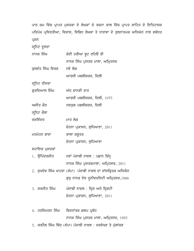ਪਾਠ ਕਮ ਵਿੱਚ ਪ੍ਰਾਪਤ ਪੁਸਤਕਾ ਦੇ ਲੇਖਕਾਂ ਦੇ ਰਚਨਾ ਕਾਲ ਵਿੱਚ ਪ੍ਰਾਪਤ ਸਾਹਿਤ ਦੇ ਇਤਿਹਾਸਕ ਪਰਿਪੇਖ ਪ੍ਰਵਿਰਤੀਆ, ਵਿਕਾਸ, ਵਿਭਿਨ ਲੇਖਕਾ ਤੇ ਧਾਰਾਵਾ ਦੇ ਤੁਲਨਾਤਮਕ ਅਧਿਐਨ ਨਾਲ ਸਬੰਧਤ ਪ੍ਰਸ਼ਨ

| ਯੂਨਿਟ ਦੂਸਰਾ      |                                                             |
|------------------|-------------------------------------------------------------|
| ਨਾਨਕ ਸਿੰਘ        | ਕੋਈ ਹਰੀਆ ਬੁਟ ਰਹਿੳ ਰੀ                                        |
|                  | ਨਾਨਕ ਸਿੰਘ ਪੁਸਤਕ ਮਾਲਾ, ਅਮ੍ਰਿਤਸਰ                              |
| ਕੁਲਵੰਤ ਸਿੰਘ ਵਿਰਕ | ਨਵੇ ਲੋਕ                                                     |
|                  | ਆਰਸੀ ਪਬਲੀਸ਼ਰਜ, ਦਿਲੀ                                         |
| ਯੂਨਿਟ ਤੀਸਰਾ      |                                                             |
| ਗੁਰਦਿਆਲ ਸਿੰਘ     | ਅੱਧ ਚਾਨਣੀ ਰਾਤ                                               |
|                  | ਆਰਸੀ ਪਬਲੀਸ਼ਰਜ, ਦਿਲੀ, 1973                                   |
| ਅਜੀਤ ਕੌਰ         | ਨਵਯੁਗ ਪਬਲੀਸ਼ਰਜ, ਦਿਲੀ                                        |
| ਯੂਨਿਟ ਚੌਥਾ       |                                                             |
| ਜਸਵਿੰਦਰ          | ਮਾਤ ਲੋਕ                                                     |
|                  | ਚੇਤਨਾ ਪ੍ਰਕਾਸਨ, ਲੁਧਿਆਣਾ, 2011                                |
| ਮਨਮੋਹਨ ਬਾਵਾ      | ਕਾਲਾ ਕਬੂਤਰ                                                  |
|                  | ਚੇਤਨਾ ਪ੍ਰਕਾਸਨ, ਲੁਧਿਆਣਾ                                      |
| ਸਹਾਇਕ ਪੁਸਤਕਾਂ    |                                                             |
| 1. ਉਪਿੰਦਰਜੀਤ     | ਨਵਾਂ ਪੰਜਾਬੀ ਨਾਵਲ : ਪਛਾਨ ਚਿੰਨ੍ਹ                              |
|                  | ਨਾਨਕ ਸਿੰਘ ਪੁਸਤਕਮਾਲਾ, ਅਮ੍ਰਿਤਸਰ, 2011                         |
|                  | 2. ਸੁਖਦੇਵ ਸਿੰਘ ਖਾਹਰਾ (ਸੰਪਾ) ਪੰਜਾਬੀ ਨਾਵਲ ਦਾ ਸਾਂਸਕ੍ਰਿਤਕ ਅਧਿਐਨ |
|                  | ਗੁਰੂ ਨਾਨਕ ਦੇਵ ਯੂਨੀਵਰਸਿਟੀ ਅਮ੍ਰਿਤਸਰ,1986                      |
| 3. ਸਰਜੀਤ ਸਿੰਘ    | ਪੰਜਾਬੀ ਨਾਵਲ : ਦ੍ਰਿਸ ਅਤੇ ਦ੍ਰਿਸ਼ਟੀ                            |
|                  | ਚੇਤਨਾ ਪ੍ਰਕਾਸ਼ਨ, ਲੁਧਿਆਣਾ, 2011                               |
|                  |                                                             |
| 4.  ਹਰਸਿਮਰਨ ਸਿੰਘ | ਬਿਰਤਾਂਤਕ ਗਲਪ ਪ੍ਰਬੰਧ                                         |

ਨਾਨਕ ਸਿੰਘ ਪੁਸਤਕ ਮਾਲਾ, ਅਮ੍ਰਿਤਸਰ, 1993

5. ਕਰਨੈਲ ਸਿੰਘ ਥਿੰਦ (ਸੰਪਾ) ਪੰਜਾਬੀ ਨਾਵਲ : ਸਰਵੇਖਣ ਤੇ ਮੁੱਲਾਂਕਣ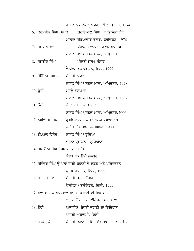|                                    | ਗੁਰੂ ਨਾਨਕ ਦੇਵ ਯੂਨੀਵਰਸਿਟੀ ਅਮ੍ਰਿਤਸਰ, 1974                   |
|------------------------------------|-----------------------------------------------------------|
|                                    | 6.  ਕਰਮਜੀਤ ਸਿੰਘ (ਸੰਪਾ)       ਗੁਰਦਿਆਲ ਸਿੰਘ : ਅਭਿਨੰਦਨ ਗ੍ਰੰਥ |
|                                    | ਮਾਲਵਾ ਸਭਿਆਚਾਰ ਕੇਂਦਰ, ਫਰੀਦਕੋਟ, 1976                        |
| 7. ਜਸਪਾਲ ਕਾਗ                       | ਪੰਜਾਬੀ ਨਾਵਲ ਦਾ ਗਲਪ ਸਾਸਤਰ                                  |
|                                    | ਨਾਨਕ ਸਿੰਘ ਪੁਸਤਕ ਮਾਲਾ, ਅਮ੍ਰਿਤਸਰ,                           |
| 8. ਜਗਬੀਰ ਸਿੰਘ                      | ਪੰਜਾਬੀ ਗਲਪ ਸੰਸਾਰ                                          |
|                                    | ਵੈਲਵਿਸ਼ ਪਬਲੀਕੇਸ਼ਨ, ਦਿਲੀ, 1999                             |
| 9. ਜੋਗਿੰਦਰ ਸਿੰਘ ਰਾਹੀ ਪੰਜਾਬੀ ਨਾਵਲ   |                                                           |
|                                    | ਨਾਨਕ ਸਿੰਘ ਪੁਸਤਕ ਮਾਲਾ, ਅਮ੍ਰਿਤਸਰ, 1978                      |
| $10.$ ਉਹੀ                          | ਮਸਲੇ ਗਲਪ ਦੇ                                               |
|                                    | ਨਾਨਕ ਸਿੰਘ ਪੁਸਤਕ ਮਾਲਾ, ਅਮ੍ਰਿਤਸਰ, 1992                      |
| 11. ਉਹੀ                            | ਜੋਤਿ ਜੁਗਤਿ ਕੀ ਬਾਰਤਾ                                       |
|                                    | ਨਾਨਕ ਸਿੰਘ ਪੁਸਤਕ ਮਾਲਾ, ਅਮ੍ਰਿਤਸਰ,2006                       |
| 12. ਨਰਵਿੰਦਰ ਸਿੰਘ                   | ਗੁਰਦਿਆਲ ਸਿੰਘ ਦਾ ਗਲਪ ਪੈਰਾਡਾਇਸ                              |
|                                    | ਲਾਹੌਰ ਬੁੱਕ ਸਾਪ, ਲੁਧਿਆਣਾ, 1988                             |
|                                    | 13. ਟੀ.ਆਰ.ਵਿਨੇਦ ਨਾਨਕ ਸਿੰਘ ਪੜ੍ਹਦਿਆ                         |
|                                    | ਚੇਤਨਾ ਪ੍ਰਕਾਸ਼ਨ , ਲੁਧਿਆਣਾ                                  |
| 14. ਸੁਖਵਿੰਦਰ ਸਿੰਘ ਰੰਧਾਵਾ ਕਥਾ ਚਿੰਤਨ |                                                           |
|                                    | ਸੁੰਦਰ ਬੁੱਕ ਡਿਪੇ ਜਲਧੰਰ                                     |
|                                    | 15. ਸਵਿੰਦਰ ਸਿੰਘ ਉੱਪਲਪੰਜਾਬੀ ਕਹਾਣੀ ਦੇ ਲੱਛਣ ਅਤੇ ਪਰਿਵਰਤਨ      |
|                                    | ਪੁਸਪ ਪ੍ਰਕਾਸਨ, ਦਿਲੀ, 1999                                  |
|                                    | 16. ਜਗਬੀਰ ਸਿੰਘ ਪੰਜਾਬੀ ਗਲਪ ਸੰਸਾਰ                           |
|                                    | ਵੈਲਵਿਸ਼ ਪਬਲੀਕੇਸ਼ਨ, ਦਿੱਲੀ, 1999                            |
|                                    | 17. ਬਲਦੇਵ ਸਿੰਘ ਧਾਲੀਵਾਲ ਪੰਜਾਬੀ ਕਹਾਣੀ ਦੀ ਇਕ ਸਦੀ             |
|                                    | 21 ਵੀ ਸੈਂਚਰੀ ਪਬਲੀਕੇਸ਼ਨ, ਪਟਿਆਲਾ                            |
| 18 <b>.</b> ਉਹੀ                    | ਆਧੁਨੀਕ ਪੰਜਾਬੀ ਕਹਾਣੀ ਦਾ ਇਤਿਹਾਸ                             |
|                                    | ਪੰਜਾਬੀ ਅਕਾਦਮੀ, ਦਿੱਲੀ                                      |
| 19. ਧਨਵੰਤ ਕੌਰ                      | ਪੰਜਾਬੀ ਕਹਾਣੀ : ਬਿਰਤਾਂਤ ਸ਼ਾਸਤਰੀ ਅਧਿਐਨ                      |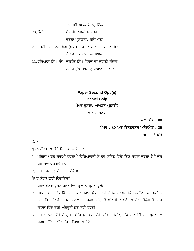ਆਰਸੀ ਪਬਲੀਕੇਸ਼ਨ, ਦਿੱਲੀ

 $20.\overline{6}$ ਹੀ ਪੰਜਾਬੀ ਕਹਾਣੀ ਸ਼ਾਸਤਰ

ਚੇਤਨਾ ਪ੍ਰਕਾਸ਼ਨਾ, ਲਧਿਆਣਾ

21. ਰਜਨੀਸ਼ ਬਹਾਦਰ ਸਿੰਘ (ਸੰਪਾ) ਮਨਮੋਹਨ ਬਾਵਾ ਦਾ ਸ਼ਬਦ ਸੰਸਾਰ ਚੇਤਨਾ ਪਕਾਸ਼ਨ , ਲਧਿਆਣਾ

22. ਵਰਿਆਸ ਸਿੰਘ ਸੰਧੂ ਕੁਲਵੰਤ ਸਿੰਘ ਵਿਰਕ ਦਾ ਕਹਾਣੀ ਸੰਸਾਰ

ਲਾਹੌਰ ਬੁੱਕ ਸ਼ਾਪ, ਲੁਧਿਆਣਾ, 1979

# **Paper Second Opt (ii) Bharti Galp** ਪੇਪਰ ਦੂਸਰਾ, ਆਪਸ਼ਨ (ਦੂਸਰੀ) ਭਾਰਤੀ ਗਲਪ

ਕਲ ਅੰਕ: 100

ਪੇਪਰ : 80 ਅਤੇ ਇਨਟਰਨਲ ਅਸੈਸਮੈਂਟ : 20 ਸਮਾਂ – 3 ਘੰਟੇ

## ਨੋਟ:

ਪ੍ਰਸ਼ਨ ਪੱਤਰ ਦਾ ਉਤੇ ਲਿਖਿਆ ਜਾਵੇਗਾ :

- 1. ਪਹਿਲਾ ਪ੍ਰਸ਼ਨ ਲਾਜਮੀ ਹੋਵੇਗਾ ੀ ਵਿਦਿਆਰਥੀ ਨੇ ਹਰ ਯੁਨਿਟ ਵਿੱਚੋਂ ਇਕ ਸਵਾਲ ਕਰਨਾ ਹੈ ੀ ਕੁੱਲ ਪੰਜ ਸਵਾਲ ਕਰਨੇ ਹਨ
- $2.$  ਹਰ ਪਸ਼ਨ  $16$  ਨੰਬਰ ਦਾ ਹੋਵੇਗਾ

ਪੇਪਰ ਸੇਟਰ ਲਈ ਹਿਦਾਇਤਾਂ :

- 1. ਪੇਪਰ ਸੇਟਰ ਪ੍ਰਸ਼ਨ ਪੱਤਰ ਵਿੱਚ ਕੁਲ ਨੌਂ ਪ੍ਰਸ਼ਨ ਪੁੱਛੇਗਾ
- 2. ਪ੍ਰਸ਼ਨ ਨੰਬਰ ਇੱਕ ਵਿੱਚ ਚਾਰ ਛੋਟੇ ਸਵਾਲ ਪੁੱਛੇ ਜਾਣਗੇ ਜੇ ਕਿ ਸਲੇਬਸ ਵਿੱਚ ਲਗੀਆ ਪੁਸਤਕਾਂ ਤੇ ਆਧਾਰਿਤ ਹੋਣਗੇ**ੀ ਹਰ ਸਵਾਲ ਦਾ ਜਵਾਬ ਘੱਟ ਤੋਂ ਘੱਟ ਇਕ ਪੱਨੇ** ਦਾ ਦੇਣਾ ਹੋਵੇਗਾ ੀ ਇਸ ਸਵਾਲ ਵਿੱਚ ਕੋਈ ਅੰਦਰੁਨੀ ਛੋਟ ਨਹੀ ਹੋਵੇਗੀ
- 3. ਹਰ ਯੁਨਿਟ ਵਿੱਚੋ ਦੇ ਪ੍ਰਸ਼ਨ (ਹੱਰ ਪੁਸਤਕ ਵਿੱਚੋ ਇੱਕ ਇੱਕ) ਪੁੱਛੇ ਜਾਣਗੇ ੀ ਹਰ ਪ੍ਰਸ਼ਨ ਦਾ ਜਵਾਬ ਘੱਟੋ - ਘੱਟ ਪੰਜ ਪੁਨਿਆ ਦਾ ਹੋਵੇ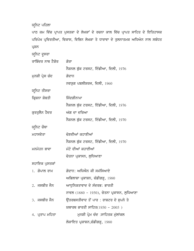## ਯੁਨਿਟ ਪਹਿਲਾ

ਪਾਠ ਕਮ ਵਿੱਚ ਪ੍ਰਾਪਤ ਪੁਸਤਕਾ ਦੇ ਲੇਖਕਾਂ ਦੇ ਰਚਨਾ ਕਾਲ ਵਿੱਚ ਪ੍ਰਾਪਤ ਸਾਹਿਤ ਦੇ ਇਤਿਹਾਸਕ ਪਰਿਪੇਖ ਪ੍ਰਵਿਰਤੀਆ, ਵਿਕਾਸ, ਵਿਭਿਨ ਲੇਖਕਾ ਤੇ ਧਾਰਾਵਾ ਦੇ ਤੁਲਨਾਤਮਕ ਅਧਿਐਨ ਨਾਲ ਸਬੰਧਤ ਪ੍ਰਸ਼ਨ ਯੁਨਿਟ ਦੁਸਰਾ

ਰਾਬਿੰਦਰ ਨਾਥ ਟੈਗੋਰ <u>ਗੋਰਾ</u> ਨੈਸ਼ਨਲ ਬੁੱਕ ਟਰਸਟ, ਇੰਡੀਆ, ਦਿਲੀ, 1976 ਮੁਨਸ਼ੀ ਪ੍ਰੇਸ ਚੰਦ ਕਰਦਾਨ ਨਵਯੁਗ ਪਬਲੀਸ਼ਰਜ, ਦਿਲੀ,  $1960$ ਯੁਨਿਟ ਤੀਸਰਾ ਕ੍ਰਿਸ਼ਨਾ ਸ਼ੋਬਤੀ ਵਿਜਿੰਦਗੀਨਾਮਾ ਨੈਸ਼ਨਲ ਬੁੱਕ ਟਰਸਟ, ਇੰਡੀਆ, ਦਿਲੀ, 1976 ਕੁਰਤੁਲੈਨ ਹੈਦਰ ਅੱਗ ਦਾ ਦਰਿਆ ਨੈਸ਼ਨਲ ਬੁੱਕ ਟਰਸਟ, ਇੰਡੀਆ, ਦਿਲੀ, 1970 ਯੁਨਿਟ ਚੌਥਾ ਮਹਾਸਵੇਤਾ ਦੇਣਵੀਆਂ ਕਹਾਣੀਆਂ ਨੈਸ਼ਨਲ ਬੁੱਕ ਟਰਸਟ, ਇੰਡੀਆ, ਦਿਲੀ, 1970 ਮਨਮੋਹਨ ਬਾਵਾ ਮੰਟੋ ਦੀਆਂ ਕਹਾਣੀਆਂ ਚੇਤਨਾ ਪ੍ਰਕਾਸਨ, ਲੁਧਿਆਣਾ

ਸਹਾਇਕ ਪੁਸਤਕਾਂ

| 1. ਗੋਪਾਲ ਰਾਮ    | ਗੋਦਾਨ: ਅਧਿਐਨ ਕੀ ਸਮੱਸਿਆਏ                    |
|-----------------|--------------------------------------------|
|                 | ਅਭਿਲਾਸ਼ਾ ਪ੍ਰਕਾਸ਼ਨ, ਚੰਡੀਗੜ੍ਹ, 1980          |
| $2.$ ਜਸਬੀਰ ਜੈਨ  | ਆਧਨਿਕਤਾਵਾਦ ਦੇ ਸੰਦਰਭ: ਭਾਰਤੀ                 |
|                 | ਨਾਵਲ (1880 - 1950), ਚੇਤਨਾ ਪ੍ਰਕਾਸਨ, ਲੁਧਿਆਣਾ |
| $3.$ ਜਸਬੀਰ ਜੈਨ  | ਉੱਤਰਬਸਤੀਵਾਦ ਤੋਂ ਪਾਰ : ਰਾਸ਼ਟਰ ਦੇ ਸੁਪਨੇ ਤੇ   |
|                 | ਯਥਾਰਥ ਭਾਰਤੀ ਸਾਹਿਤ $(1950 - 2005)$          |
| 4. ਪ੍ਰਤਾਪ ਮਹਿਤਾ | ਮਨਸ਼ੀ ਪ੍ਰੇਮ ਚੰਦ :ਸਾਹਿਤਕ ਮੁੱਲਾਂਕਲ           |
|                 | ਲੋਕਾਇਤ ਪ੍ਰਕਾਸ਼ਨ,ਚੰਡੀਗੜ੍ਹ, 1980             |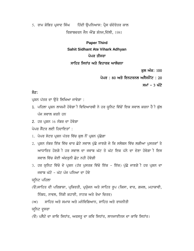5. ਰਾਮ ਸ਼ੋਭਿਤ ਪ੍ਰਸਾਦ ਸਿੰਘ ਹਿੰਦੀ ਉਪਨਿਆਸ: ਪ੍ਰੈਸ ਚੰਦੋਰੋਤਰ ਕਾਲ ਰਿਸ਼ਾਬਚਰਨ ਜੈਨ ਐਂਡ ਸ਼ੰਨਜ,ਦਿੱਲੀ, 1981

## **Paper Third Sahit Sidhant Ate Vihark Adhyan** ਪੇਪਰ ਤੀਸਰਾ

## ਸਾਹਿਤ ਸਿਧਾਂਤ ਅਤੇ ਵਿਹਾਰਕ ਆਲੋਚਨਾ

ਕਲ ਅੰਕ: 100

ਪੇਪਰ : 80 ਅਤੇ ਇਨਟਰਨਲ ਅਸੈਸਮੈਂਟ : 20

ਸਮਾਂ – 3 ਘੰਟੇ

## ਨੋਟ:

ਪ੍ਰਸ਼ਨ ਪੱਤਰ ਦਾ ਉਤੇ ਲਿਖਿਆ ਜਾਵੇਗਾ :

- 1. ਪਹਿਲਾ ਪ੍ਰਸ਼ਨ ਲਾਜਮੀ ਹੋਵੇਗਾ ੀ ਵਿਦਿਆਰਥੀ ਨੇ ਹਰ ਯੁਨਿਟ ਵਿੱਚੋਂ ਇਕ ਸਵਾਲ ਕਰਨਾ ਹੈ ੀ ਕੁੱਲ  $\hat{u}$ ਜ ਸਵਾਲ ਕਰਨੇ ਹਨ
- $2.$  ਹਰ ਪ੍ਰਸ਼ਨ  $16$  ਨੰਬਰ ਦਾ ਹੋਵੇਗਾ

ਪੇਪਰ ਸੈਂਟਰ ਲਈ ਹਿਦਾਇਤਾਂ :

- 1. ਪੇਪਰ ਸੇਟਰ ਪ੍ਰਸ਼ਨ ਪੱਤਰ ਵਿੱਚ ਕੁਲ ਨੌਂ ਪ੍ਰਸ਼ਨ ਪੁੱਛੇਗਾ
- 2. ਪੁਸ਼ਨ ਨੰਬਰ ਇੱਕ ਵਿੱਚ ਚਾਰ ਛੋਟੇ ਸਵਾਲ ਪੱਛੇ ਜਾਣਗੇ ਜੇ ਕਿ ਸਲੇਬਸ ਵਿੱਚ ਲਗੀਆ ਪਸਤਕਾਂ ਤੇ ਆਧਾਰਿਤ ਹੋਣਗੇ ੀ ਹਰ ਸਵਾਲ ਦਾ ਜਵਾਬ ਘੱਟ ਤੋ ਘੱਟ ਇਕ ਪੱਨੇ ਦਾ ਦੇਣਾ ਹੋਵੇਗਾ ੀ ਇਸ ਸਵਾਲ ਵਿੱਚ ਕੋਈ ਅੰਦਰਨੀ ਛੋਟ ਨਹੀ ਹੋਵੇਗੀ
- 3. ਹਰ ਯੁਨਿਟ ਵਿੱਚੋ ਦੇ ਪ੍ਰਸ਼ਨ (ਹੱਰ ਪੁਸਤਕ ਵਿੱਚੋ ਇੱਕ ਇੱਕ) ਪੁੱਛੇ ਜਾਣਗੇ ੀ ਹਰ ਪ੍ਰਸ਼ਨ ਦਾ ਜਵਾਬ ਘੱਟੋ - ਘੱਟ ਪੰਜ ਪੁਨਿਆ ਦਾ ਹੋਵੇ

ਯੁਨਿਟ ਪਹਿਲਾ

- (ੳ)ਸਾਹਿਤ ਦੀ ਪਰਿਭਾਸ਼ਾ, ਪ੍ਰਕਿਰਤੀ, ਪ੍ਰਯੁੋਜਨ ਅਤੇ ਸਾਹਿਤ ਰੂਪ (ਕਿਸਾ, ਵਾਰ, ਗਜਲ, ਮਹਾਕਾਵੀ, ਨਿੰਬਧ, ਨਾਵਲ, ਨਿੱਕੀ ਕਹਾਣੀ, ਨਾਟਕ ਅਤੇ ਰੇਖਾ ਚਿਤਰ)
- $(M)$  ਸਾਹਿਤ ਅਤੇ ਸਮਾਜ ਅਤੇ ਮਨੋਵਿਗਿਆਨ, ਸਾਹਿਤ ਅਤੇ ਰਾਜਨੀਤੀ

ਯਨਿਟ ਦੁਸਰਾ

(ੳ) ਪਲੈਟੋ ਦਾ ਕਾਵਿ ਸਿਧਾਂਤ, ਅਰਸਤੂ ਦਾ ਕਵਿ ਸਿਧਾਂਤ, ਲਾਨਜਾਈਨਸ ਦਾ ਕਾਵਿ ਸਿਧਾਂਤ।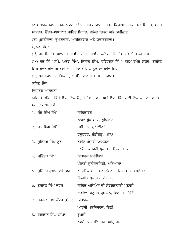(ਅ) ਮਾਰਕਸਵਾਦ, ਸੰਰਚਨਾਵਦ, ਉੱਤਰ-ਮਾਰਕਸਵਾਦ, ਚਿਹਨ ਵਿਗਿਆਨ, ਵਿਰਚਨਾ ਸਿਧਾਂਤ, ਸੁਹਜ ਸਾਸਤਰ, ਉੱਤਰ-ਆਧਨਿਕ ਸਾਹਿਤ ਸਿਧਾਂਤ, ਦਲਿਤ ਚਿਤਨ ਅਤੇ ਨਾਰੀਵਾਦ। (ੲ) ਪਗਤੀਵਾਦ, ਰਮਾਂਸਵਾਦ, ਅਸਤਿਤਵਾਦ ਅਤੇ ਯਥਾਰਥਵਾਦ। ਯੁਨਿਟ ਤੀਸਰਾ (ੳ) ਰਸ ਸਿਧਾਂਤ, ਅਲੰਕਾਰ ਸਿਧਾਂਤ, ਰੀਤੀ ਸਿਧਾਂਤ, ਵਕੁੋਕਤੀ ਸਿਧਾਂਤ ਅਤੇ ਔਚਿਤਯ ਸਾਸਤਰ। (ਅ) ਸਤ ਸਿੰਘ ਸੇਖੇ, ਅਤਰ ਸਿੰਘ, ਕਿਸਾਨ ਸਿੰਘ, ਹਰਿਭਜਨ ਸਿੰਘ, ਨਜਮ ਰਮੇਨ ਸਯਦ, ਤਰਲੋਕ ਸਿੰਘ ਕਵਰ ਰਵਿੰਦਰ ਰਵੀ ਅਤੇ ਸਤਿੰਦਰ ਸਿੰਘ ਨੂਰ ਦਾ ਕਾਵਿ ਸਿਧਾਂਤ। (ੲ) ਪਗਤੀਵਾਦ, ਰਮਾਂਸਵਾਦ, ਅਸਤਿਤਵਾਦ ਅਤੇ ਯਥਾਰਥਵਾਦ। ਯੁਨਿਟ ਚੌਥਾ ਵਿਹਾਰਕ ਆਲ<del>ੋਹ</del>ਨਾ (ਗੱਦ ਤੇ ਕਵਿਤਾ ਵਿੱਚੋਂ ਇਕ-ਇਕ ਪੈਰ੍ਹਾ ਦਿੱਤਾ ਜਾਵੇਗਾ ਅਤੇ ਇਨ੍ਹਾਂ ਵਿੱਚੋ ਕੋਈ ਇਕ ਕਰਨਾ ਹੋਵੇਗਾ) ਸ਼ਹਾਇਕ ਪੁਸਤਕਾਂ 1. sMq isMG syKoN swihqwrQ ਲਾਹੌਰ ਬੁੱਕ ਸ਼ਾਪ, ਲੁਧਿਆਣਾ 2. ਸੰਤ ਸਿੰਘ ਸੇਖੋਂ ਮਸੀਖਿਆ ਪ੍ਰਣਾਲੀਆਂ ਫਸ਼ੂਠਭਭ, ਚੰਡੀਗੜ੍ਹ,  $1975$ 3. ਸੁਤਿੰਦਰ ਸਿੰਘ ਨੁਰ ਨਵੀਨ ਪੰਜਾਬੀ ਆਲੋਚਨਾ ਇਕੱਤੀ ਫਰਵਰੀ ਪ੍ਰਕਾਸਨ, ਦਿਲੀ, 1975 4. ਸਤਿੰਦਰ ਸਿੰਘ ਵਿਹਾਰਕ ਸਮੀਖਿਆ ਪੰਜਾਬੀ ਯੂਨੀਵਰਸਿਟੀ, ਪਟਿਆਲਾ <u>5. ਸੁਰਿੰਦਰ ਕੁਮਾਰ ਦਵੇਸ਼ਵਰ ਅਆਧੁਨਿਕ ਸਾਹਿਤ ਆਲੋਚਨਾ : ਸਿਧਾਂਤ ਤੇ ਵਿਸ਼ਲੇਸ਼ਣ</u> ਲੋਕਗੀਤ ਪ੍ਰਕਾਸ਼ਨ, ਚੰਡੀਗੜ੍ਹ 6. ਤਰਲੋਕ ਸਿੰਘ ਕੰਵਰ ਸਾਹਿਤ ਅਧਿਐਨ ਦੀ ਸੰਰਚਨਾਵਾਦੀ ਪ੍ਰਣਾਲੀ  $M$ ਰਵਿੰਦ ਹੰਨੁਮੰਤ ਪ੍ਰਕਾਸ਼ਨ, ਦਿਲੀ । 1975 7. ਤਰਲੋਕ ਸਿੰਘ ਕੰਵਰ (ਸੰਪਾ) ਵਿਹਾਰਕੀ ਆਰਸੀ ਪਬਲਿਸ਼ਰਜ, ਦਿਲੀ

8. ਹਰਭਜਨ ਸਿੰਘ (ਸੰਪਾ) ਰਪਕੀ

ਨਵਚੇਤਨ ਪਬਲਿਸ਼ਰਜ, ਅਮ੍ਰਿਤਸਰ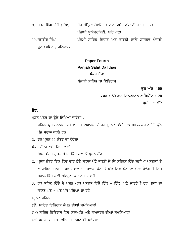9. ਰਤਨ ਸਿੰਘ ਜੱਗੀ (ਸੰਪਾ) ਯੋਜ ਪੱਤ੍ਰਿਕਾ (ਸਾਹਿਤਕ ਵਾਦ ਵਿਸ਼ੇਸ ਅੰਕ ਨੰਬਰ 31 -32) ਪੰਜਾਬੀ ਯੂਨੀਵਰਸਿਟੀ, ਪਟਿਆਲਾ 10. ਜਗਬੀਰ ਸਿੰਘ ਪੰਛਮੀ ਸਾਹਿਤ ਸਿਧਾਂਤ ਅਤੇ ਭਾਰਤੀ ਕਾਵਿ ਸ਼ਾਸਤਰ ਪੰਜਾਬੀ ਯੂਨੀਵਰਸਿਟੀ, ਪਟਿਆਲਾ

## **Paper Fourth Panjab Sahit Da Ithas** ਪੇਪਰ ਚੌਥਾ ਪੰਜਾਬੀ ਸਾਹਿਤ ਕਾ ਇਤਿਹਾਸ

ਕਲ ਅੰਕ: 100

ਪੇਪਰ : 80 ਅਤੇ ਇਨਟਰਨਲ ਅਸੈਸਮੈਂਟ : 20

ਸਮਾਂ – 3 ਘੰਟੇ

## ਨੋਟ:

ਪਸ਼ਨ ਪੱਤਰ ਦਾ ਉਤੇ ਲਿਖਿਆ ਜਾਵੇਗਾ :

- 1. ਪਹਿਲਾ ਪ੍ਰਸ਼ਨ ਲਾਜਮੀ ਹੋਵੇਗਾ ੀ ਵਿਦਿਆਰਥੀ ਨੇ ਹਰ ਯੁਨਿਟ ਵਿੱਚੋਂ ਇਕ ਸਵਾਲ ਕਰਨਾ ਹੈ ੀ ਕੁੱਲ ਪੰਜ ਸਵਾਲ ਕਰਨੇ ਹਨ
- $2.$  ਹਰ ਪ੍ਰਸ਼ਨ  $16$  ਨੰਬਰ ਦਾ ਹੋਵੇਗਾ
- ਪੇਪਰ ਸੈਂਟਰ ਲਈ ਹਿਦਾਇਤਾਂ :
- 1. ਪੇਪਰ ਸੇਟਰ ਪ੍ਰਸ਼ਨ ਪੱਤਰ ਵਿੱਚ ਕੁਲ ਨੌਂ ਪ੍ਰਸ਼ਨ ਪੁੱਛੇਗਾ
- 2. ਪ੍ਰਸ਼ਨ ਨੰਬਰ ਇੱਕ ਵਿੱਚ ਚਾਰ ਛੋਟੇ ਸਵਾਲ ਪੁੱਛੇ ਜਾਣਗੇ ਜੇ ਕਿ ਸਲੇਬਸ ਵਿੱਚ ਲਗੀਆ ਪੁਸਤਕਾਂ ਤੇ ਆਧਾਰਿਤ ਹੋਣਗੇ**ੀ ਹਰ ਸਵਾਲ ਦਾ ਜਵਾਬ ਘੱਟ ਤੋਂ ਘੱਟ ਇਕ ਪੱਨੇ** ਦਾ ਦੇਣਾ ਹੋਵੇਗਾ ੀ ਇਸ ਸਵਾਲ ਵਿੱਚ ਕੋਈ ਅੰਦਰੁਨੀ ਛੋਟ ਨਹੀ ਹੋਵੇਗੀ
- 3. ਹਰ ਯੁਨਿਟ ਵਿੱਚੋ ਦੇ ਪ੍ਰਸ਼ਨ (ਹੱਰ ਪੁਸਤਕ ਵਿੱਚੋ ਇੱਕ ਇੱਕ) ਪੁੱਛੇ ਜਾਣਗੇ ੀ ਹਰ ਪ੍ਰਸ਼ਨ ਦਾ ਜਵਾਬ ਘੱਟੋ - ਘੱਟ ਪੰਜ ਪੁਨਿਆ ਦਾ ਹੋਵੇ

ਯਨਿਟ ਪਹਿਲਾ

- $\overline{R}$ ) ਸਾਹਿਤ ਇਤਿਹਾਸ ਲੇਖਨ ਦੀਆਂ ਸਮੱਸਿਆਵਾਂ
- (ਅ) ਸਾਹਿਤ ਇਤਿਹਾਸ ਵਿੱਚ ਕਾਲ-ਵੰਡ ਅਤੇ ਨਾਮਕਰਨ ਦੀਆਂ ਸਮੱਸਿਆਵਾਂ
- (ੲ) ਪੰਜਾਬੀ ਸਾਹਿਤ ਇਤਿਹਾਸ ਲਿਖਣ ਦੀ ਪਰੰਪਰਾ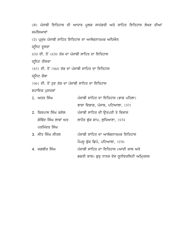(ਸ) ਪੰਜਾਬੀ ਇਤਿਹਾਸ ਦੀ ਆਧਾਰ ਮੁਲਕ ਸਾਮੱਗਰੀ ਅਤੇ ਸਾਹਿਤ ਇਤਿਹਾਸ ਲੇਖਣ ਦੀਆਂ ਸਮੱਸਿਆਵਾਂ (ਹ) ਪ੍ਰਮੁੱਖ ਪੰਜਾਬੀ ਸਾਹਿਤ ਇਤਿਹਾਸ ਦਾ ਆਲੋਚਨਾਤਮਕ ਅਧਿਐਨ ਯੁਨਿਟ ਦੁਸਰਾ  $850$  ਈ. ਤੋਂ 1850 ਤੱਕ ਦਾ ਪੰਜਾਬੀ ਸਾਹਿਤ ਦਾ ਇਤਿਹਾਸ ਯੁਨਿਟ ਤੀਸਰਾ 1851 ਈ. ਤੋਂ 1960 ਤੱਕ ਦਾ ਪੰਜਾਬੀ ਸਾਹਿਤ ਦਾ ਇਤਿਹਾਸ ਯਨਿਟ ਚੌਥਾ 1961 ਈ. ਤੋਂ ਹਣ ਤੱਕ ਦਾ ਪੰਜਾਬੀ ਸਾਹਿਤ ਦਾ ਇਤਿਹਾਸ ਸ਼ਹਾਇਕ ਪਸਤਕਾਂ 1. ਅਤਰ ਸਿੰਘ ਪੰਜਾਬੀ ਸਾਹਿਤ ਦਾ ਇਤਿਹਾਸ (ਭਾਗ ਪਹਿਲਾ) ਭਾਸ਼ਾ ਵਿਭਾਗ, ਪੰਜਾਬ, ਪਟਿਆਲਾ, 1971 2. ਕਿਰਪਾਲ ਸਿੰਘ ਕਸੇਲ ਪੰਜਾਬੀ ਸਾਹਿਤ ਦੀ ੳਤਪਤੀ ਤੇ ਵਿਕਾਸ ਗੋਬਿੰਦ ਸਿੰਘ ਲਾਬਾਂ ਅਤ ਲਾਹੌਰ ਬੁੱਕ ਸ਼ਾਪ, ਲੁਧਿਆਣਾ, 1974 ਪਰਮਿੰਦਰ ਸਿੰਘ 3. ਜੀਤ ਸਿੰਘ ਸੀਤਲ ਪੰਜਾਬੀ ਸਾਹਿਤ ਦਾ ਆਲੋਚਨਾਤਮਕ ਇਤਿਹਾਸ ਪੈਪਸੁ ਬੁੱਕ ਡਿਪੋ, ਪਟਿਆਲਾ,  $1976$ 4. ਜਗਬੀਰ ਸਿੰਘ ਪੰਜਾਬੀ ਸਾਹਿਤ ਦਾ ਇਤਿਹਾਸ (ਆਦੀ ਕਾਲ ਅਤੇ ਭਗਤੀ ਕਾਲ) ਗੁਰੂ ਨਾਨਕ ਦੇਵ ਯੂਨੀਵਰਸਿਟੀ ਅਮ੍ਰਿਤਸਰ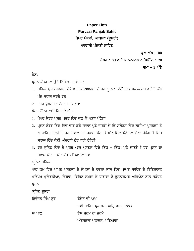# **Paper Fifth Parvasi Panjab Sahit** ਪੇਪਰ ਪੰਜਵਾਂ, ਆਪਸ਼ਨ (ਦੂਸਰੀ) ਪਰਵਾਸੀ ਪੰਜਾਬੀ ਸਾਹਿਤ

ਕਲ ਅੰਕ: 100

ਪੇਪਰ : 80 ਅਤੇ ਇਨਟਰਨਲ ਅਸੈਸਮੈਂਟ : 20

ਸਮਾਂ – 3 ਘੰਟੇ

## ਨੋਟ:

ਪ੍ਰਸ਼ਨ ਪੱਤਰ ਦਾ ਉਤੇ ਲਿਖਿਆ ਜਾਵੇਗਾ :

- 1. ਪਹਿਲਾ ਪ੍ਰਸ਼ਨ ਲਾਜਮੀ ਹੋਵੇਗਾ ੀ ਵਿਦਿਆਰਥੀ ਨੇ ਹਰ ਯੁਨਿਟ ਵਿੱਚੋਂ ਇਕ ਸਵਾਲ ਕਰਨਾ ਹੈ ੀ ਕੁੱਲ ਪੰਜ ਸਵਾਲ ਕਰਨੇ ਹਨ
- $2.$  ਹਰ ਪਸ਼ਨ 16 ਨੰਬਰ ਦਾ ਹੋਵੇਗਾ

ਪੇਪਰ ਸੈਂਟਰ ਲਈ ਹਿਦਾਇਤਾਂ :

- 1. ਪੇਪਰ ਸੇਟਰ ਪ੍ਰਸ਼ਨ ਪੱਤਰ ਵਿੱਚ ਕੁਲ ਨੌਂ ਪ੍ਰਸ਼ਨ ਪੁੱਛੇਗਾ
- 2. ਪ੍ਰਸ਼ਨ ਨੰਬਰ ਇੱਕ ਵਿੱਚ ਚਾਰ ਛੋਟੇ ਸਵਾਲ ਪੁੱਛੇ ਜਾਣਗੇ ਜੇ ਕਿ ਸਲੇਬਸ ਵਿੱਚ ਲਗੀਆ ਪੁਸਤਕਾਂ ਤੇ ਆਧਾਰਿਤ ਹੋਣਗੇ**ੀ ਹਰ ਸਵਾਲ ਦਾ ਜਵਾਬ ਘੱਟ ਤੋ ਘੱਟ ਇਕ ਪੱਨੇ** ਦਾ ਦੇਣਾ ਹੋਵੇਗਾ ੀ ਇਸ ਸਵਾਲ ਵਿੱਚ ਕੋਈ ਅੰਦਰੂਨੀ ਛੋਟ ਨਹੀ ਹੋਵੇਗੀ
- 3. ਹਰ ਯੂਨਿਟ ਵਿੱਚੋ ਦੇ ਪ੍ਰਸ਼ਨ (ਹੱਰ ਪੁਸਤਕ ਵਿੱਚੋ ਇੱਕ ਇੱਕ) ਪੁੱਛੇ ਜਾਣਗੇ ੀ ਹਰ ਪ੍ਰਸ਼ਨ ਦਾ ਜਵਾਬ ਘੱਟੋ - ਘੱਟ ਪੰਜ ਪੁਨਿਆ ਦਾ ਹੋਵੇ

ਯਨਿਟ ਪਹਿਲਾ

ਪਾਠ ਕਮ ਵਿੱਚ ਪ੍ਰਾਪਤ ਪੁਸਤਕਾ ਦੇ ਲੇਖਕਾਂ ਦੇ ਰਚਨਾ ਕਾਲ ਵਿੱਚ ਪ੍ਰਾਪਤ ਸਾਹਿਤ ਦੇ ਇਤਿਹਾਸਕ ਪਰਿਪੇਖ ਪ੍ਰਵਿਰਤੀਆ, ਵਿਕਾਸ, ਵਿਭਿਨ ਲੇਖਕਾ ਤੇ ਧਾਰਾਵਾ ਦੇ ਤੁਲਨਾਤਮਕ ਅਧਿਐਨ ਨਾਲ ਸਬੰਧਤ ਪ੍ਰਸ਼ਨ

ਯੁਨਿਟ ਦੁਸਰਾ

ਨਿਰੰਜਨ ਸਿੰਘ ਨੂਰ ਉਜੇਨ ਦੀ ਅੱਖ

ਰਵੀ ਸਾਹਿਤ ਪ੍ਰਕਾਸ਼ਨ, ਅਮ੍ਰਿਤਸਰ, 1993

ਸੁਖਪਾਲ ਵਿਸਾਰ ਦੇਸ ਜਨਮ ਨਾ ਜਨਮੇ

ਅੰਤਰਨਾਦ ਪ੍ਰਕਾਸ਼ਨ, ਪਟਿਆਲਾ